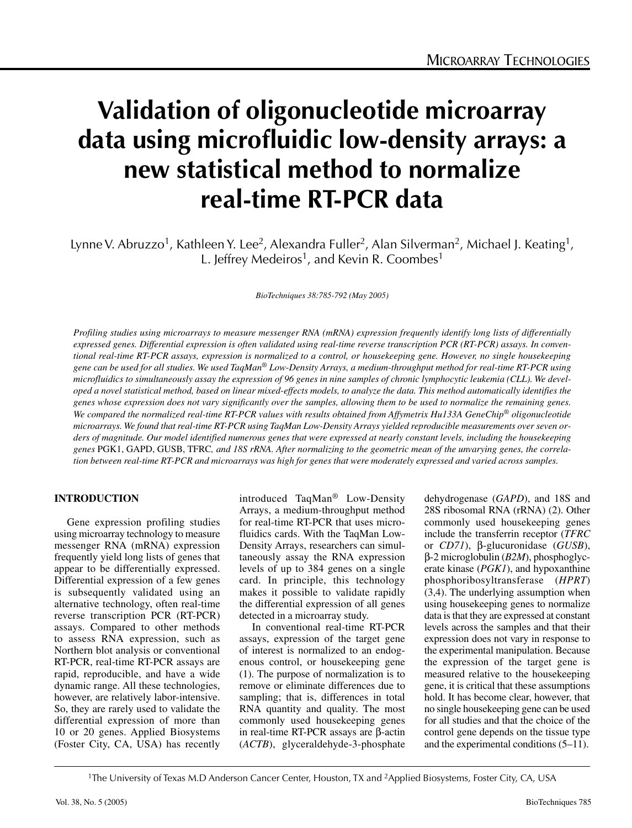# **Validation of oligonucleotide microarray data using microfluidic low-density arrays: a new statistical method to normalize real-time RT-PCR data**

Lynne V. Abruzzo<sup>1</sup>, Kathleen Y. Lee<sup>2</sup>, Alexandra Fuller<sup>2</sup>, Alan Silverman<sup>2</sup>, Michael J. Keating<sup>1</sup>, L. Jeffrey Medeiros<sup>1</sup>, and Kevin R. Coombes<sup>1</sup>

*BioTechniques 38:785-792 (May 2005)*

*Profiling studies using microarrays to measure messenger RNA (mRNA) expression frequently identify long lists of differentially expressed genes. Differential expression is often validated using real-time reverse transcription PCR (RT-PCR) assays. In conventional real-time RT-PCR assays, expression is normalized to a control, or housekeeping gene. However, no single housekeeping gene can be used for all studies. We used TaqMan® Low-Density Arrays, a medium-throughput method for real-time RT-PCR using microfluidics to simultaneously assay the expression of 96 genes in nine samples of chronic lymphocytic leukemia (CLL). We developed a novel statistical method, based on linear mixed-effects models, to analyze the data. This method automatically identifies the genes whose expression does not vary significantly over the samples, allowing them to be used to normalize the remaining genes. We compared the normalized real-time RT-PCR values with results obtained from Affymetrix Hu133A GeneChip® oligonucleotide microarrays. We found that real-time RT-PCR using TaqMan Low-Density Arrays yielded reproducible measurements over seven orders of magnitude. Our model identified numerous genes that were expressed at nearly constant levels, including the housekeeping genes* PGK1, GAPD, GUSB, TFRC*, and 18S rRNA. After normalizing to the geometric mean of the unvarying genes, the correlation between real-time RT-PCR and microarrays was high for genes that were moderately expressed and varied across samples.*

# **INTRODUCTION**

Gene expression profiling studies using microarray technology to measure messenger RNA (mRNA) expression frequently yield long lists of genes that appear to be differentially expressed. Differential expression of a few genes is subsequently validated using an alternative technology, often real-time reverse transcription PCR (RT-PCR) assays. Compared to other methods to assess RNA expression, such as Northern blot analysis or conventional RT-PCR, real-time RT-PCR assays are rapid, reproducible, and have a wide dynamic range. All these technologies, however, are relatively labor-intensive. So, they are rarely used to validate the differential expression of more than 10 or 20 genes. Applied Biosystems (Foster City, CA, USA) has recently

introduced TaqMan® Low-Density Arrays, a medium-throughput method for real-time RT-PCR that uses microfluidics cards. With the TaqMan Low-Density Arrays, researchers can simultaneously assay the RNA expression levels of up to 384 genes on a single card. In principle, this technology makes it possible to validate rapidly the differential expression of all genes detected in a microarray study.

In conventional real-time RT-PCR assays, expression of the target gene of interest is normalized to an endogenous control, or housekeeping gene (1). The purpose of normalization is to remove or eliminate differences due to sampling; that is, differences in total RNA quantity and quality. The most commonly used housekeeping genes in real-time RT-PCR assays are β-actin (*ACTB*), glyceraldehyde-3-phosphate dehydrogenase (*GAPD*), and 18S and 28S ribosomal RNA (rRNA) (2). Other commonly used housekeeping genes include the transferrin receptor (*TFRC* or *CD71*), β-glucuronidase (*GUSB*), β-2 microglobulin (*B2M*), phosphoglycerate kinase (*PGK1*), and hypoxanthine phosphoribosyltransferase (*HPRT*) (3,4). The underlying assumption when using housekeeping genes to normalize data is that they are expressed at constant levels across the samples and that their expression does not vary in response to the experimental manipulation. Because the expression of the target gene is measured relative to the housekeeping gene, it is critical that these assumptions hold. It has become clear, however, that no single housekeeping gene can be used for all studies and that the choice of the control gene depends on the tissue type and the experimental conditions (5–11).

1The University of Texas M.D Anderson Cancer Center, Houston, TX and 2Applied Biosystems, Foster City, CA, USA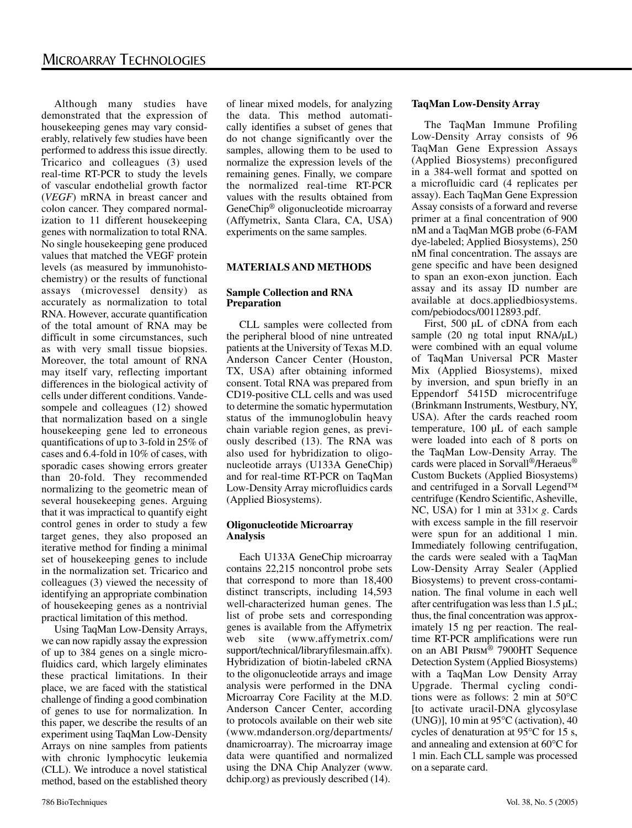Although many studies have demonstrated that the expression of housekeeping genes may vary considerably, relatively few studies have been performed to address this issue directly. Tricarico and colleagues (3) used real-time RT-PCR to study the levels of vascular endothelial growth factor (*VEGF*) mRNA in breast cancer and colon cancer. They compared normalization to 11 different housekeeping genes with normalization to total RNA. No single housekeeping gene produced values that matched the VEGF protein levels (as measured by immunohistochemistry) or the results of functional assays (microvessel density) as accurately as normalization to total RNA. However, accurate quantification of the total amount of RNA may be difficult in some circumstances, such as with very small tissue biopsies. Moreover, the total amount of RNA may itself vary, reflecting important differences in the biological activity of cells under different conditions. Vandesompele and colleagues (12) showed that normalization based on a single housekeeping gene led to erroneous quantifications of up to 3-fold in 25% of cases and 6.4-fold in 10% of cases, with sporadic cases showing errors greater than 20-fold. They recommended normalizing to the geometric mean of several housekeeping genes. Arguing that it was impractical to quantify eight control genes in order to study a few target genes, they also proposed an iterative method for finding a minimal set of housekeeping genes to include in the normalization set. Tricarico and colleagues (3) viewed the necessity of identifying an appropriate combination of housekeeping genes as a nontrivial practical limitation of this method.

Using TaqMan Low-Density Arrays, we can now rapidly assay the expression of up to 384 genes on a single microfluidics card, which largely eliminates these practical limitations. In their place, we are faced with the statistical challenge of finding a good combination of genes to use for normalization. In this paper, we describe the results of an experiment using TaqMan Low-Density Arrays on nine samples from patients with chronic lymphocytic leukemia (CLL). We introduce a novel statistical method, based on the established theory

of linear mixed models, for analyzing the data. This method automatically identifies a subset of genes that do not change significantly over the samples, allowing them to be used to normalize the expression levels of the remaining genes. Finally, we compare the normalized real-time RT-PCR values with the results obtained from GeneChip® oligonucleotide microarray (Affymetrix, Santa Clara, CA, USA) experiments on the same samples.

## **MATERIALS AND METHODS**

## **Sample Collection and RNA Preparation**

CLL samples were collected from the peripheral blood of nine untreated patients at the University of Texas M.D. Anderson Cancer Center (Houston, TX, USA) after obtaining informed consent. Total RNA was prepared from CD19-positive CLL cells and was used to determine the somatic hypermutation status of the immunoglobulin heavy chain variable region genes, as previously described (13). The RNA was also used for hybridization to oligonucleotide arrays (U133A GeneChip) and for real-time RT-PCR on TaqMan Low-Density Array microfluidics cards (Applied Biosystems).

#### **Oligonucleotide Microarray Analysis**

Each U133A GeneChip microarray contains 22,215 noncontrol probe sets that correspond to more than 18,400 distinct transcripts, including 14,593 well-characterized human genes. The list of probe sets and corresponding genes is available from the Affymetrix web site (www.affymetrix.com/ support/technical/libraryfilesmain.affx). Hybridization of biotin-labeled cRNA to the oligonucleotide arrays and image analysis were performed in the DNA Microarray Core Facility at the M.D. Anderson Cancer Center, according to protocols available on their web site (www.mdanderson.org/departments/ dnamicroarray). The microarray image data were quantified and normalized using the DNA Chip Analyzer (www. dchip.org) as previously described (14).

## **TaqMan Low-Density Array**

The TaqMan Immune Profiling Low-Density Array consists of 96 TaqMan Gene Expression Assays (Applied Biosystems) preconfigured in a 384-well format and spotted on a microfluidic card (4 replicates per assay). Each TaqMan Gene Expression Assay consists of a forward and reverse primer at a final concentration of 900 nM and a TaqMan MGB probe (6-FAM dye-labeled; Applied Biosystems), 250 nM final concentration. The assays are gene specific and have been designed to span an exon-exon junction. Each assay and its assay ID number are available at docs.appliedbiosystems. com/pebiodocs/00112893.pdf.

First, 500 µL of cDNA from each sample  $(20 \text{ ng total input RNA/µL})$ were combined with an equal volume of TaqMan Universal PCR Master Mix (Applied Biosystems), mixed by inversion, and spun briefly in an Eppendorf 5415D microcentrifuge (Brinkmann Instruments, Westbury, NY, USA). After the cards reached room temperature, 100 µL of each sample were loaded into each of 8 ports on the TaqMan Low-Density Array. The cards were placed in Sorvall®/Heraeus® Custom Buckets (Applied Biosystems) and centrifuged in a Sorvall Legend™ centrifuge (Kendro Scientific, Asheville, NC, USA) for 1 min at  $331 \times g$ . Cards with excess sample in the fill reservoir were spun for an additional 1 min. Immediately following centrifugation, the cards were sealed with a TaqMan Low-Density Array Sealer (Applied Biosystems) to prevent cross-contamination. The final volume in each well after centrifugation was less than 1.5 µL; thus, the final concentration was approximately 15 ng per reaction. The realtime RT-PCR amplifications were run on an ABI Prism® 7900HT Sequence Detection System (Applied Biosystems) with a TaqMan Low Density Array Upgrade. Thermal cycling conditions were as follows: 2 min at 50°C [to activate uracil-DNA glycosylase (UNG)], 10 min at 95°C (activation), 40 cycles of denaturation at 95°C for 15 s, and annealing and extension at 60°C for 1 min. Each CLL sample was processed on a separate card.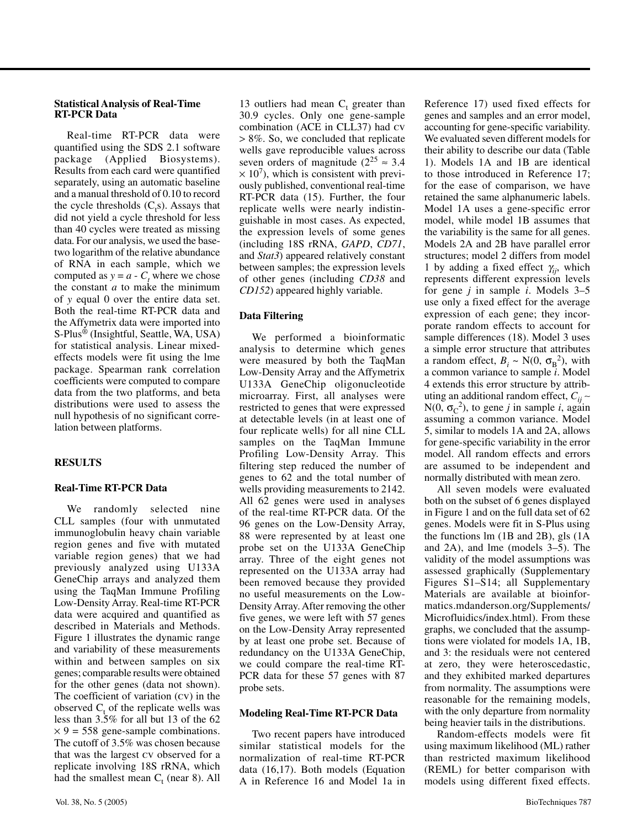#### **Statistical Analysis of Real-Time RT-PCR Data**

Real-time RT-PCR data were quantified using the SDS 2.1 software package (Applied Biosystems). Results from each card were quantified separately, using an automatic baseline and a manual threshold of 0.10 to record the cycle thresholds  $(C_t s)$ . Assays that did not yield a cycle threshold for less than 40 cycles were treated as missing data. For our analysis, we used the basetwo logarithm of the relative abundance of RNA in each sample, which we computed as  $y = a - C_t$  where we chose the constant *a* to make the minimum of *y* equal 0 over the entire data set. Both the real-time RT-PCR data and the Affymetrix data were imported into S-Plus® (Insightful, Seattle, WA, USA) for statistical analysis. Linear mixedeffects models were fit using the lme package. Spearman rank correlation coefficients were computed to compare data from the two platforms, and beta distributions were used to assess the null hypothesis of no significant correlation between platforms.

## **RESULTS**

## **Real-Time RT-PCR Data**

We randomly selected nine CLL samples (four with unmutated immunoglobulin heavy chain variable region genes and five with mutated variable region genes) that we had previously analyzed using U133A GeneChip arrays and analyzed them using the TaqMan Immune Profiling Low-Density Array. Real-time RT-PCR data were acquired and quantified as described in Materials and Methods. Figure 1 illustrates the dynamic range and variability of these measurements within and between samples on six genes; comparable results were obtained for the other genes (data not shown). The coefficient of variation (cv) in the observed  $C_t$  of the replicate wells was less than 3.5% for all but 13 of the 62  $\times$  9 = 558 gene-sample combinations. The cutoff of 3.5% was chosen because that was the largest cv observed for a replicate involving 18S rRNA, which had the smallest mean  $C_t$  (near 8). All

13 outliers had mean  $C_t$  greater than 30.9 cycles. Only one gene-sample combination (ACE in CLL37) had cv > 8%. So, we concluded that replicate wells gave reproducible values across seven orders of magnitude ( $2^{25} \approx 3.4$ )  $\times$  10<sup>7</sup>), which is consistent with previously published, conventional real-time RT-PCR data (15). Further, the four replicate wells were nearly indistinguishable in most cases. As expected, the expression levels of some genes (including 18S rRNA, *GAPD*, *CD71*, and *Stat3*) appeared relatively constant between samples; the expression levels of other genes (including *CD38* and *CD152*) appeared highly variable.

## **Data Filtering**

We performed a bioinformatic analysis to determine which genes were measured by both the TaqMan Low-Density Array and the Affymetrix U133A GeneChip oligonucleotide microarray. First, all analyses were restricted to genes that were expressed at detectable levels (in at least one of four replicate wells) for all nine CLL samples on the TaqMan Immune Profiling Low-Density Array. This filtering step reduced the number of genes to 62 and the total number of wells providing measurements to 2142. All 62 genes were used in analyses of the real-time RT-PCR data. Of the 96 genes on the Low-Density Array, 88 were represented by at least one probe set on the U133A GeneChip array. Three of the eight genes not represented on the U133A array had been removed because they provided no useful measurements on the Low-Density Array. After removing the other five genes, we were left with 57 genes on the Low-Density Array represented by at least one probe set. Because of redundancy on the U133A GeneChip, we could compare the real-time RT-PCR data for these 57 genes with 87 probe sets.

## **Modeling Real-Time RT-PCR Data**

Two recent papers have introduced similar statistical models for the normalization of real-time RT-PCR data (16,17). Both models (Equation A in Reference 16 and Model 1a in Reference 17) used fixed effects for genes and samples and an error model, accounting for gene-specific variability. We evaluated seven different models for their ability to describe our data (Table 1). Models 1A and 1B are identical to those introduced in Reference 17; for the ease of comparison, we have retained the same alphanumeric labels. Model 1A uses a gene-specific error model, while model 1B assumes that the variability is the same for all genes. Models 2A and 2B have parallel error structures; model 2 differs from model 1 by adding a fixed effect  $\gamma_{ii}$ , which represents different expression levels for gene *j* in sample *i*. Models 3–5 use only a fixed effect for the average expression of each gene; they incorporate random effects to account for sample differences (18). Model 3 uses a simple error structure that attributes a random effect,  $B_i \sim N(0, \sigma_B^2)$ , with a common variance to sample *i*. Model 4 extends this error structure by attributing an additional random effect, *Cij* ∼  $N(0, \sigma_C^2)$ , to gene *j* in sample *i*, again assuming a common variance. Model 5, similar to models 1A and 2A, allows for gene-specific variability in the error model. All random effects and errors are assumed to be independent and normally distributed with mean zero.

All seven models were evaluated both on the subset of 6 genes displayed in Figure 1 and on the full data set of 62 genes. Models were fit in S-Plus using the functions lm (1B and 2B), gls (1A and 2A), and lme (models 3–5). The validity of the model assumptions was assessed graphically (Supplementary Figures S1–S14; all Supplementary Materials are available at bioinformatics.mdanderson.org/Supplements/ Microfluidics/index.html). From these graphs, we concluded that the assumptions were violated for models 1A, 1B, and 3: the residuals were not centered at zero, they were heteroscedastic, and they exhibited marked departures from normality. The assumptions were reasonable for the remaining models, with the only departure from normality being heavier tails in the distributions.

Random-effects models were fit using maximum likelihood (ML) rather than restricted maximum likelihood (REML) for better comparison with models using different fixed effects.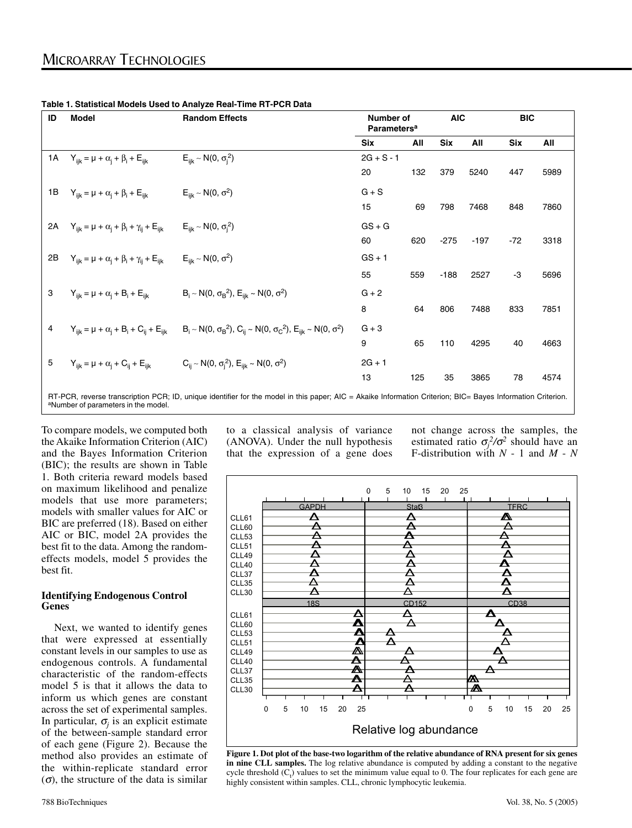| ID                                                                                                                                                                                                             | <b>Model</b>                                                 | <b>Random Effects</b>                                                                                                                      | Number of<br>Parameters <sup>a</sup> |     | <b>AIC</b> |        | <b>BIC</b> |      |
|----------------------------------------------------------------------------------------------------------------------------------------------------------------------------------------------------------------|--------------------------------------------------------------|--------------------------------------------------------------------------------------------------------------------------------------------|--------------------------------------|-----|------------|--------|------------|------|
|                                                                                                                                                                                                                |                                                              |                                                                                                                                            | <b>Six</b>                           | All | <b>Six</b> | All    | Six        | All  |
| 1A                                                                                                                                                                                                             | $Y_{iik} = \mu + \alpha_i + \beta_i + E_{iik}$               | $E_{iik} \sim N(0, \sigma_i^2)$                                                                                                            | $2G + S - 1$                         |     |            |        |            |      |
|                                                                                                                                                                                                                |                                                              |                                                                                                                                            | 20                                   | 132 | 379        | 5240   | 447        | 5989 |
| 1B                                                                                                                                                                                                             | $Y_{iik} = \mu + \alpha_i + \beta_i + E_{iik}$               | $E_{iik} \sim N(0, \sigma^2)$                                                                                                              | $G + S$                              |     |            |        |            |      |
|                                                                                                                                                                                                                |                                                              |                                                                                                                                            | 15                                   | 69  | 798        | 7468   | 848        | 7860 |
| 2A                                                                                                                                                                                                             | $Y_{ijk} = \mu + \alpha_i + \beta_i + \gamma_{ij} + E_{ijk}$ | $E_{iik} \sim N(0, \sigma_i^2)$                                                                                                            | $GS + G$                             |     |            |        |            |      |
|                                                                                                                                                                                                                |                                                              |                                                                                                                                            | 60                                   | 620 | $-275$     | $-197$ | $-72$      | 3318 |
| 2B                                                                                                                                                                                                             | $Y_{ijk} = \mu + \alpha_i + \beta_i + \gamma_{ii} + E_{iik}$ | $E_{iik} \sim N(0, \sigma^2)$                                                                                                              | $GS + 1$                             |     |            |        |            |      |
|                                                                                                                                                                                                                |                                                              |                                                                                                                                            | 55                                   | 559 | $-188$     | 2527   | -3         | 5696 |
| 3                                                                                                                                                                                                              | $Y_{iik} = \mu + \alpha_i + B_i + E_{iik}$                   | $B_i \sim N(0, \sigma_B^2)$ , $E_{iik} \sim N(0, \sigma^2)$                                                                                | $G + 2$                              |     |            |        |            |      |
|                                                                                                                                                                                                                |                                                              |                                                                                                                                            | 8                                    | 64  | 806        | 7488   | 833        | 7851 |
| 4                                                                                                                                                                                                              |                                                              | $Y_{iik} = \mu + \alpha_i + B_i + C_{ii} + E_{iik}$ $B_i \sim N(0, \sigma_B^2), C_{ii} \sim N(0, \sigma_C^2), E_{iik} \sim N(0, \sigma^2)$ | $G + 3$                              |     |            |        |            |      |
|                                                                                                                                                                                                                |                                                              |                                                                                                                                            | 9                                    | 65  | 110        | 4295   | 40         | 4663 |
| 5                                                                                                                                                                                                              | $Y_{iik} = \mu + \alpha_i + C_{ii} + E_{iik}$                | $C_{ii} \sim N(0, \sigma_i^2)$ , $E_{iik} \sim N(0, \sigma^2)$                                                                             | $2G + 1$                             |     |            |        |            |      |
|                                                                                                                                                                                                                |                                                              |                                                                                                                                            | 13                                   | 125 | 35         | 3865   | 78         | 4574 |
| RT-PCR, reverse transcription PCR; ID, unique identifier for the model in this paper; AIC = Akaike Information Criterion; BIC= Bayes Information Criterion.<br><sup>a</sup> Number of parameters in the model. |                                                              |                                                                                                                                            |                                      |     |            |        |            |      |

**Table 1. Statistical Models Used to Analyze Real-Time RT-PCR Data**

To compare models, we computed both the Akaike Information Criterion (AIC) and the Bayes Information Criterion (BIC); the results are shown in Table 1. Both criteria reward models based on maximum likelihood and penalize models that use more parameters; models with smaller values for AIC or BIC are preferred (18). Based on either AIC or BIC, model 2A provides the best fit to the data. Among the randomeffects models, model 5 provides the best fit.

#### **Identifying Endogenous Control Genes**

Next, we wanted to identify genes that were expressed at essentially constant levels in our samples to use as endogenous controls. A fundamental characteristic of the random-effects model 5 is that it allows the data to inform us which genes are constant across the set of experimental samples. In particular,  $\sigma_j$  is an explicit estimate of the between-sample standard error of each gene (Figure 2). Because the method also provides an estimate of the within-replicate standard error  $(\sigma)$ , the structure of the data is similar

to a classical analysis of variance (ANOVA). Under the null hypothesis that the expression of a gene does

not change across the samples, the estimated ratio  $\sigma_j^2/\sigma^2$  should have an F-distribution with *N* - 1 and *M* - *N*



**Figure 1. Dot plot of the base-two logarithm of the relative abundance of RNA present for six genes in nine CLL samples.** The log relative abundance is computed by adding a constant to the negative cycle threshold  $(C_t)$  values to set the minimum value equal to 0. The four replicates for each gene are highly consistent within samples. CLL, chronic lymphocytic leukemia.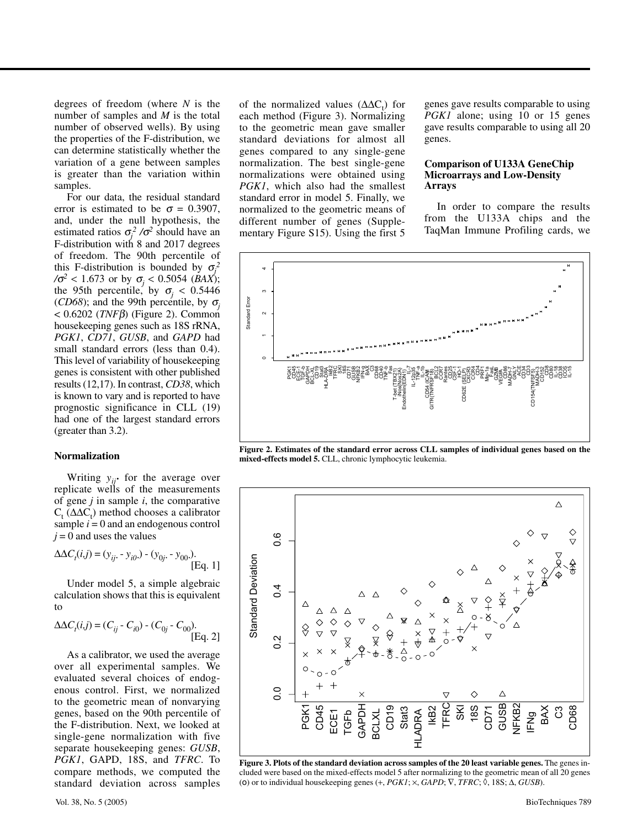degrees of freedom (where *N* is the number of samples and *M* is the total number of observed wells). By using the properties of the F-distribution, we can determine statistically whether the variation of a gene between samples is greater than the variation within samples.

For our data, the residual standard error is estimated to be  $\sigma = 0.3907$ . and, under the null hypothesis, the estimated ratios  $\sigma_j^2 / \sigma^2$  should have an F-distribution with 8 and 2017 degrees of freedom. The 90th percentile of this F-distribution is bounded by  $\sigma_j^2$ */*σ*<sup>2</sup>* < 1.673 or by <sup>σ</sup>*<sup>j</sup>* < 0.5054 (*BAX*); the 95th percentile, by  $\sigma_i$  < 0.5446 (*CD68*); and the 99th percentile, by  $\sigma_i$ < 0.6202 (*TNF*β) (Figure 2). Common housekeeping genes such as 18S rRNA, *PGK1*, *CD71*, *GUSB*, and *GAPD* had small standard errors (less than 0.4). This level of variability of housekeeping genes is consistent with other published results (12,17). In contrast, *CD38*, which is known to vary and is reported to have prognostic significance in CLL (19) had one of the largest standard errors (greater than 3.2).

#### **Normalization**

Writing  $y_{ii}$  for the average over replicate wells of the measurements of gene *j* in sample *i*, the comparative  $C_t$  ( $\Delta \Delta C_t$ ) method chooses a calibrator sample  $i = 0$  and an endogenous control  $j = 0$  and uses the values

$$
\Delta \Delta C_i(i,j) = (y_{ij}. - y_{i0}.) - (y_{0j}. - y_{00}).
$$
 [Eq. 1]

Under model 5, a simple algebraic calculation shows that this is equivalent to

$$
\Delta \Delta C_i(i,j) = (C_{ij} - C_{i0}) - (C_{0j} - C_{00}).
$$
  
[Eq. 2]

As a calibrator, we used the average over all experimental samples. We evaluated several choices of endogenous control. First, we normalized to the geometric mean of nonvarying genes, based on the 90th percentile of the F-distribution. Next, we looked at single-gene normalization with five separate housekeeping genes: *GUSB*, *PGK1*, GAPD, 18S, and *TFRC*. To compare methods, we computed the standard deviation across samples

of the normalized values  $(\Delta \Delta C_t)$  for each method (Figure 3). Normalizing to the geometric mean gave smaller standard deviations for almost all genes compared to any single-gene normalization. The best single-gene normalizations were obtained using *PGK1*, which also had the smallest standard error in model 5. Finally, we normalized to the geometric means of different number of genes (Supplementary Figure S15). Using the first 5

genes gave results comparable to using *PGK1* alone; using 10 or 15 genes gave results comparable to using all 20 genes.

#### **Comparison of U133A GeneChip Microarrays and Low-Density Arrays**

In order to compare the results from the U133A chips and the TaqMan Immune Profiling cards, we



**Figure 2. Estimates of the standard error across CLL samples of individual genes based on the mixed-effects model 5.** CLL, chronic lymphocytic leukemia.



**Figure 3. Plots of the standard deviation across samples of the 20 least variable genes.** The genes included were based on the mixed-effects model 5 after normalizing to the geometric mean of all 20 genes (o) or to individual housekeeping genes  $(+, PGK1; \times, GAPD; \nabla, TFRC; \tilde{\lozenge}, 18S; \Delta, GUSB)$ .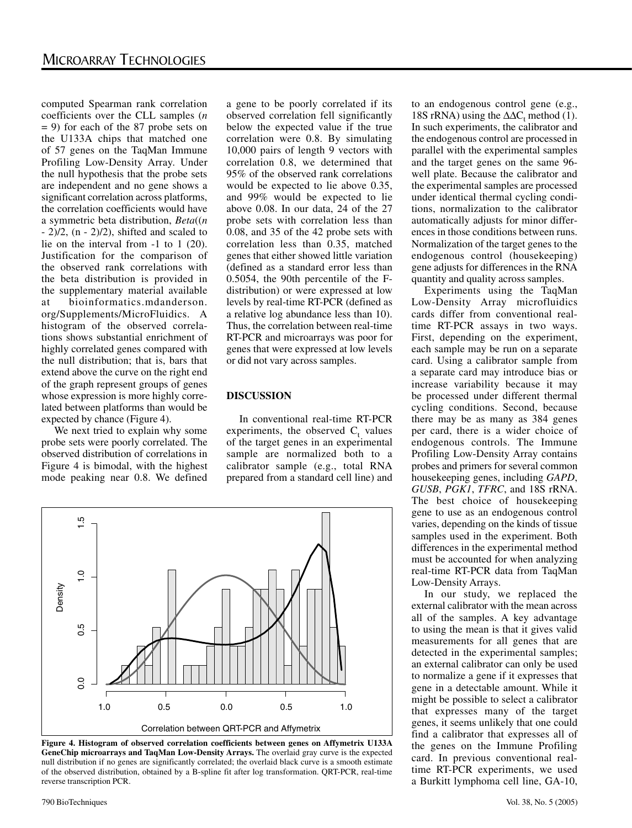computed Spearman rank correlation coefficients over the CLL samples (*n* = 9) for each of the 87 probe sets on the U133A chips that matched one of 57 genes on the TaqMan Immune Profiling Low-Density Array. Under the null hypothesis that the probe sets are independent and no gene shows a significant correlation across platforms, the correlation coefficients would have a symmetric beta distribution, *Beta*((*n*  $- 2/2$ ,  $(n - 2)/2$ ), shifted and scaled to lie on the interval from -1 to 1 (20). Justification for the comparison of the observed rank correlations with the beta distribution is provided in the supplementary material available at bioinformatics.mdanderson. org/Supplements/MicroFluidics. A histogram of the observed correlations shows substantial enrichment of highly correlated genes compared with the null distribution; that is, bars that extend above the curve on the right end of the graph represent groups of genes whose expression is more highly correlated between platforms than would be expected by chance (Figure 4).

We next tried to explain why some probe sets were poorly correlated. The observed distribution of correlations in Figure 4 is bimodal, with the highest mode peaking near 0.8. We defined

a gene to be poorly correlated if its observed correlation fell significantly below the expected value if the true correlation were 0.8. By simulating 10,000 pairs of length 9 vectors with correlation 0.8, we determined that 95% of the observed rank correlations would be expected to lie above 0.35, and 99% would be expected to lie above 0.08. In our data, 24 of the 27 probe sets with correlation less than 0.08, and 35 of the 42 probe sets with correlation less than 0.35, matched genes that either showed little variation (defined as a standard error less than 0.5054, the 90th percentile of the Fdistribution) or were expressed at low levels by real-time RT-PCR (defined as a relative log abundance less than 10). Thus, the correlation between real-time RT-PCR and microarrays was poor for genes that were expressed at low levels or did not vary across samples.

## **DISCUSSION**

In conventional real-time RT-PCR experiments, the observed  $C_t$  values of the target genes in an experimental sample are normalized both to a calibrator sample (e.g., total RNA prepared from a standard cell line) and



**Figure 4. Histogram of observed correlation coefficients between genes on Affymetrix U133A GeneChip microarrays and TaqMan Low-Density Arrays.** The overlaid gray curve is the expected null distribution if no genes are significantly correlated; the overlaid black curve is a smooth estimate of the observed distribution, obtained by a B-spline fit after log transformation. QRT-PCR, real-time reverse transcription PCR.

to an endogenous control gene (e.g., 18S rRNA) using the  $\Delta \Delta C_t$  method (1). In such experiments, the calibrator and the endogenous control are processed in parallel with the experimental samples and the target genes on the same 96 well plate. Because the calibrator and the experimental samples are processed under identical thermal cycling conditions, normalization to the calibrator automatically adjusts for minor differences in those conditions between runs. Normalization of the target genes to the endogenous control (housekeeping) gene adjusts for differences in the RNA quantity and quality across samples.

Experiments using the TaqMan Low-Density Array microfluidics cards differ from conventional realtime RT-PCR assays in two ways. First, depending on the experiment, each sample may be run on a separate card. Using a calibrator sample from a separate card may introduce bias or increase variability because it may be processed under different thermal cycling conditions. Second, because there may be as many as 384 genes per card, there is a wider choice of endogenous controls. The Immune Profiling Low-Density Array contains probes and primers for several common housekeeping genes, including *GAPD*, *GUSB*, *PGK1*, *TFRC*, and 18S rRNA. The best choice of housekeeping gene to use as an endogenous control varies, depending on the kinds of tissue samples used in the experiment. Both differences in the experimental method must be accounted for when analyzing real-time RT-PCR data from TaqMan Low-Density Arrays.

In our study, we replaced the external calibrator with the mean across all of the samples. A key advantage to using the mean is that it gives valid measurements for all genes that are detected in the experimental samples; an external calibrator can only be used to normalize a gene if it expresses that gene in a detectable amount. While it might be possible to select a calibrator that expresses many of the target genes, it seems unlikely that one could find a calibrator that expresses all of the genes on the Immune Profiling card. In previous conventional realtime RT-PCR experiments, we used a Burkitt lymphoma cell line, GA-10,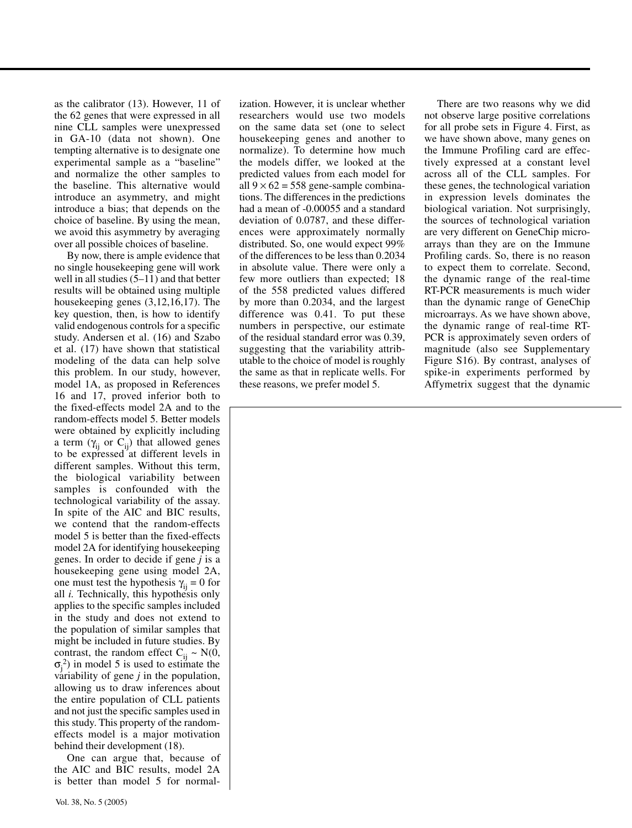as the calibrator (13). However, 11 of the 62 genes that were expressed in all nine CLL samples were unexpressed in GA-10 (data not shown). One tempting alternative is to designate one experimental sample as a "baseline" and normalize the other samples to the baseline. This alternative would introduce an asymmetry, and might introduce a bias; that depends on the choice of baseline. By using the mean, we avoid this asymmetry by averaging over all possible choices of baseline.

By now, there is ample evidence that no single housekeeping gene will work well in all studies (5–11) and that better results will be obtained using multiple housekeeping genes (3,12,16,17). The key question, then, is how to identify valid endogenous controls for a specific study. Andersen et al. (16) and Szabo et al. (17) have shown that statistical modeling of the data can help solve this problem. In our study, however, model 1A, as proposed in References 16 and 17, proved inferior both to the fixed-effects model 2A and to the random-effects model 5. Better models were obtained by explicitly including a term  $(\gamma_{ij}$  or  $C_{ij})$  that allowed genes to be expressed at different levels in different samples. Without this term, the biological variability between samples is confounded with the technological variability of the assay. In spite of the AIC and BIC results, we contend that the random-effects model 5 is better than the fixed-effects model 2A for identifying housekeeping genes. In order to decide if gene *j* is a housekeeping gene using model 2A, one must test the hypothesis  $\gamma_{ii} = 0$  for all *i.* Technically, this hypothesis only applies to the specific samples included in the study and does not extend to the population of similar samples that might be included in future studies. By contrast, the random effect  $C_{ii} \sim N(0,$  $\sigma_j^2$ ) in model 5 is used to estimate the variability of gene *j* in the population, allowing us to draw inferences about the entire population of CLL patients and not just the specific samples used in this study. This property of the randomeffects model is a major motivation behind their development (18).

One can argue that, because of the AIC and BIC results, model 2A is better than model 5 for normalization. However, it is unclear whether researchers would use two models on the same data set (one to select housekeeping genes and another to normalize). To determine how much the models differ, we looked at the predicted values from each model for all  $9 \times 62 = 558$  gene-sample combinations. The differences in the predictions had a mean of -0.00055 and a standard deviation of 0.0787, and these differences were approximately normally distributed. So, one would expect 99% of the differences to be less than 0.2034 in absolute value. There were only a few more outliers than expected; 18 of the 558 predicted values differed by more than 0.2034, and the largest difference was 0.41. To put these numbers in perspective, our estimate of the residual standard error was 0.39, suggesting that the variability attributable to the choice of model is roughly the same as that in replicate wells. For these reasons, we prefer model 5.

There are two reasons why we did not observe large positive correlations for all probe sets in Figure 4. First, as we have shown above, many genes on the Immune Profiling card are effectively expressed at a constant level across all of the CLL samples. For these genes, the technological variation in expression levels dominates the biological variation. Not surprisingly, the sources of technological variation are very different on GeneChip microarrays than they are on the Immune Profiling cards. So, there is no reason to expect them to correlate. Second, the dynamic range of the real-time RT-PCR measurements is much wider than the dynamic range of GeneChip microarrays. As we have shown above, the dynamic range of real-time RT-PCR is approximately seven orders of magnitude (also see Supplementary Figure S16). By contrast, analyses of spike-in experiments performed by Affymetrix suggest that the dynamic